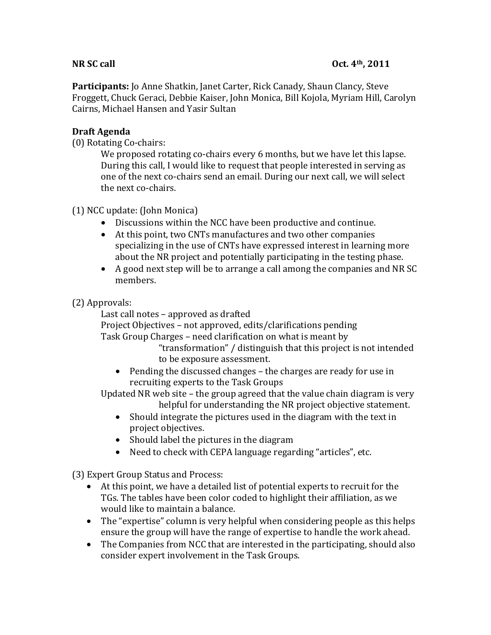Participants: Jo Anne Shatkin, Janet Carter, Rick Canady, Shaun Clancy, Steve Froggett, Chuck Geraci, Debbie Kaiser, John Monica, Bill Kojola, Myriam Hill, Carolyn Cairns, Michael Hansen and Yasir Sultan

# **Draft#Agenda**

 $(0)$  Rotating Co-chairs:

We proposed rotating co-chairs every 6 months, but we have let this lapse. During this call, I would like to request that people interested in serving as one of the next co-chairs send an email. During our next call, we will select the next co-chairs.

### $(1)$  NCC update: (John Monica)

- Discussions within the NCC have been productive and continue.
- At this point, two CNTs manufactures and two other companies specializing in the use of CNTs have expressed interest in learning more about the NR project and potentially participating in the testing phase.
- A good next step will be to arrange a call among the companies and NR SC members.

# $(2)$  Approvals:

Last call notes – approved as drafted

Project Objectives – not approved, edits/clarifications pending Task Group Charges – need clarification on what is meant by

> "transformation" / distinguish that this project is not intended to be exposure assessment.

• Pending the discussed changes – the charges are ready for use in recruiting experts to the Task Groups

Updated NR web site – the group agreed that the value chain diagram is very helpful for understanding the NR project objective statement.

- Should integrate the pictures used in the diagram with the text in  $\bullet$ project objectives.
- Should label the pictures in the diagram
- Need to check with CEPA language regarding "articles", etc.

(3) Expert Group Status and Process:

- $\bullet$  At this point, we have a detailed list of potential experts to recruit for the TGs. The tables have been color coded to highlight their affiliation, as we would like to maintain a balance.
- The "expertise" column is very helpful when considering people as this helps ensure the group will have the range of expertise to handle the work ahead.
- The Companies from NCC that are interested in the participating, should also consider expert involvement in the Task Groups.